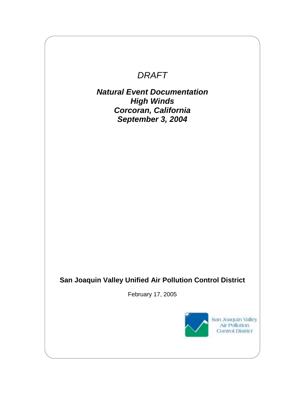# *DRAFT*

*Natural Event Documentation High Winds Corcoran, California September 3, 2004*

# **San Joaquin Valley Unified Air Pollution Control District**

February 17, 2005

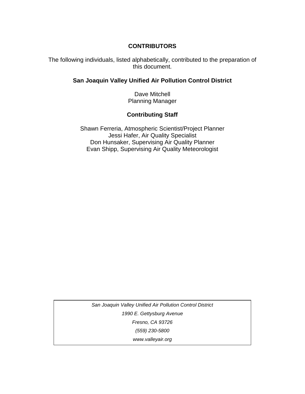#### **CONTRIBUTORS**

The following individuals, listed alphabetically, contributed to the preparation of this document.

#### **San Joaquin Valley Unified Air Pollution Control District**

Dave Mitchell Planning Manager

#### **Contributing Staff**

Shawn Ferreria, Atmospheric Scientist/Project Planner Jessi Hafer, Air Quality Specialist Don Hunsaker, Supervising Air Quality Planner Evan Shipp, Supervising Air Quality Meteorologist

*San Joaquin Valley Unified Air Pollution Control District 1990 E. Gettysburg Avenue Fresno, CA 93726 (559) 230-5800 www.valleyair.org*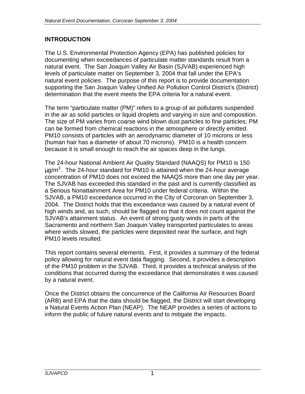# **INTRODUCTION**

The U.S. Environmental Protection Agency (EPA) has published policies for documenting when exceedances of particulate matter standards result from a natural event. The San Joaquin Valley Air Basin (SJVAB) experienced high levels of particulate matter on September 3, 2004 that fall under the EPA's natural event policies. The purpose of this report is to provide documentation supporting the San Joaquin Valley Unified Air Pollution Control District's (District) determination that the event meets the EPA criteria for a natural event.

The term "particulate matter (PM)" refers to a group of air pollutants suspended in the air as solid particles or liquid droplets and varying in size and composition. The size of PM varies from coarse wind blown dust particles to fine particles; PM can be formed from chemical reactions in the atmosphere or directly emitted. PM10 consists of particles with an aerodynamic diameter of 10 microns or less (human hair has a diameter of about 70 microns). PM10 is a health concern because it is small enough to reach the air spaces deep in the lungs.

The 24-hour National Ambient Air Quality Standard (NAAQS) for PM10 is 150  $\mu$ g/m $^3$ . The 24-hour standard for PM10 is attained when the 24-hour average concentration of PM10 does not exceed the NAAQS more than one day per year. The SJVAB has exceeded this standard in the past and is currently classified as a Serious Nonattainment Area for PM10 under federal criteria. Within the SJVAB, a PM10 exceedance occurred in the City of Corcoran on September 3, 2004. The District holds that this exceedance was caused by a natural event of high winds and, as such, should be flagged so that it does not count against the SJVAB's attainment status. An event of strong gusty winds in parts of the Sacramento and northern San Joaquin Valley transported particulates to areas where winds slowed, the particles were deposited near the surface, and high PM10 levels resulted.

This report contains several elements. First, it provides a summary of the federal policy allowing for natural event data flagging. Second, it provides a description of the PM10 problem in the SJVAB. Third, it provides a technical analysis of the conditions that occurred during the exceedance that demonstrates it was caused by a natural event.

Once the District obtains the concurrence of the California Air Resources Board (ARB) and EPA that the data should be flagged, the District will start developing a Natural Events Action Plan (NEAP). The NEAP provides a series of actions to inform the public of future natural events and to mitigate the impacts.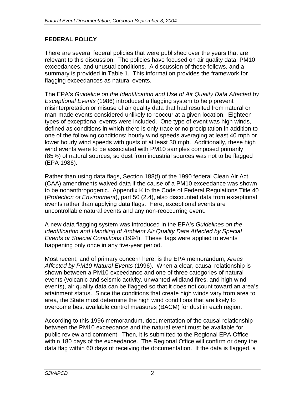# **FEDERAL POLICY**

There are several federal policies that were published over the years that are relevant to this discussion. The policies have focused on air quality data, PM10 exceedances, and unusual conditions. A discussion of these follows, and a summary is provided in Table 1. This information provides the framework for flagging exceedances as natural events.

The EPA's *Guideline on the Identification and Use of Air Quality Data Affected by Exceptional Events* (1986) introduced a flagging system to help prevent misinterpretation or misuse of air quality data that had resulted from natural or man-made events considered unlikely to reoccur at a given location. Eighteen types of exceptional events were included. One type of event was high winds, defined as conditions in which there is only trace or no precipitation in addition to one of the following conditions: hourly wind speeds averaging at least 40 mph or lower hourly wind speeds with gusts of at least 30 mph. Additionally, these high wind events were to be associated with PM10 samples composed primarily (85%) of natural sources, so dust from industrial sources was not to be flagged (EPA 1986).

Rather than using data flags, Section 188(f) of the 1990 federal Clean Air Act (CAA) amendments waived data if the cause of a PM10 exceedance was shown to be nonanthropogenic. Appendix K to the Code of Federal Regulations Title 40 (*Protection of Environment*), part 50 (2.4), also discounted data from exceptional events rather than applying data flags. Here, exceptional events are uncontrollable natural events and any non-reoccurring event.

A new data flagging system was introduced in the EPA's *Guidelines on the Identification and Handling of Ambient Air Quality Data Affected by Special Events or Special Conditions* (1994). These flags were applied to events happening only once in any five-year period.

Most recent, and of primary concern here, is the EPA memorandum, *Areas Affected by PM10 Natural Events* (1996). When a clear, causal relationship is shown between a PM10 exceedance and one of three categories of natural events (volcanic and seismic activity, unwanted wildland fires, and high wind events), air quality data can be flagged so that it does not count toward an area's attainment status. Since the conditions that create high winds vary from area to area, the State must determine the high wind conditions that are likely to overcome best available control measures (BACM) for dust in each region.

According to this 1996 memorandum, documentation of the causal relationship between the PM10 exceedance and the natural event must be available for public review and comment. Then, it is submitted to the Regional EPA Office within 180 days of the exceedance. The Regional Office will confirm or deny the data flag within 60 days of receiving the documentation. If the data is flagged, a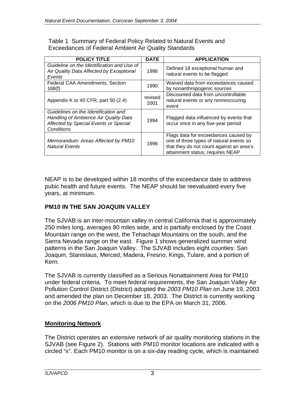Table 1 Summary of Federal Policy Related to Natural Events and Exceedances of Federal Ambient Air Quality Standards

| <b>POLICY TITLE</b>                                                                                                                         | <b>DATE</b>     | <b>APPLICATION</b>                                                                                                                                              |
|---------------------------------------------------------------------------------------------------------------------------------------------|-----------------|-----------------------------------------------------------------------------------------------------------------------------------------------------------------|
| Guideline on the Identification and Use of<br>Air Quality Data Affected by Exceptional<br>Events                                            | 1986            | Defined 18 exceptional human and<br>natural events to be flagged                                                                                                |
| <b>Federal CAA Amendments, Section</b><br>188(f)                                                                                            | 1990            | Waived data from exceedances caused<br>by nonanthropogenic sources                                                                                              |
| Appendix K to 40 CFR, part 50 (2.4)                                                                                                         | revised<br>2001 | Discounted data from uncontrollable<br>natural events or any nonreoccuring<br>event                                                                             |
| Guidelines on the Identification and<br>Handling of Ambience Air Quality Data<br>Affected by Special Events or Special<br><b>Conditions</b> | 1994            | Flagged data influenced by events that<br>occur once in any five-year period                                                                                    |
| Memorandum: Areas Affected by PM10<br><b>Natural Events</b>                                                                                 | 1996            | Flags data for exceedances caused by<br>one of three types of natural events so<br>that they do not count against an area's<br>attainment status; requires NEAP |

NEAP is to be developed within 18 months of the exceedance date to address pubic health and future events. The NEAP should be reevaluated every five years, at minimum.

#### **PM10 IN THE SAN JOAQUIN VALLEY**

The SJVAB is an inter-mountain valley in central California that is approximately 250 miles long, averages 80 miles wide, and is partially enclosed by the Coast Mountain range on the west, the Tehachapi Mountains on the south, and the Sierra Nevada range on the east. Figure 1 shows generalized summer wind patterns in the San Joaquin Valley. The SJVAB includes eight counties: San Joaquin, Stanislaus, Merced, Madera, Fresno, Kings, Tulare, and a portion of Kern.

The SJVAB is currently classified as a Serious Nonattainment Area for PM10 under federal criteria. To meet federal requirements, the San Joaquin Valley Air Pollution Control District (District) adopted the *2003 PM10 Plan* on June 19, 2003 and amended the plan on December 18, 2003. The District is currently working on the *2006 PM10 Plan*, which is due to the EPA on March 31, 2006.

#### **Monitoring Network**

The District operates an extensive network of air quality monitoring stations in the SJVAB (see Figure 2). Stations with PM10 monitor locations are indicated with a circled "x". Each PM10 monitor is on a six-day reading cycle, which is maintained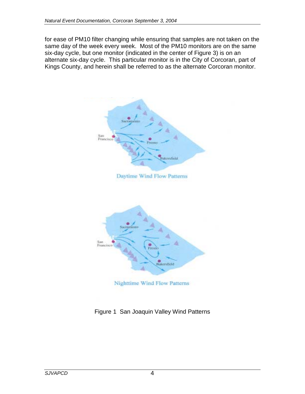for ease of PM10 filter changing while ensuring that samples are not taken on the same day of the week every week. Most of the PM10 monitors are on the same six-day cycle, but one monitor (indicated in the center of Figure 3) is on an alternate six-day cycle. This particular monitor is in the City of Corcoran, part of Kings County, and herein shall be referred to as the alternate Corcoran monitor.



Figure 1 San Joaquin Valley Wind Patterns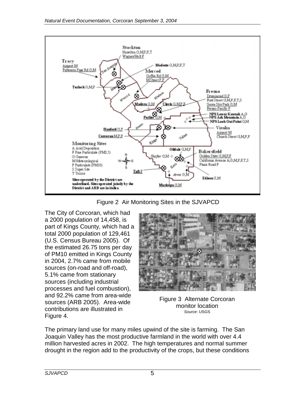

Figure 2 Air Monitoring Sites in the SJVAPCD

The City of Corcoran, which had a 2000 population of 14,458, is part of Kings County, which had a total 2000 population of 129,461 (U.S. Census Bureau 2005). Of the estimated 26.75 tons per day of PM10 emitted in Kings County in 2004, 2.7% came from mobile sources (on-road and off-road), 5.1% came from stationary sources (including industrial processes and fuel combustion), and 92.2% came from area-wide sources (ARB 2005). Area-wide contributions are illustrated in Figure 4.



Figure 3 Alternate Corcoran monitor location *Source*: USGS

The primary land use for many miles upwind of the site is farming. The San Joaquin Valley has the most productive farmland in the world with over 4.4 million harvested acres in 2002. The high temperatures and normal summer drought in the region add to the productivity of the crops, but these conditions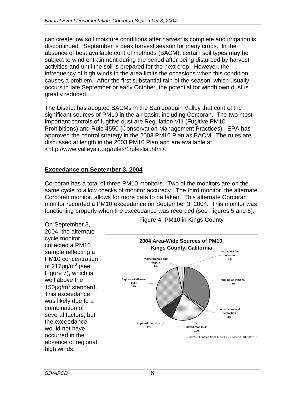can create low soil moisture conditions after harvest is complete and irrigation is discontinued. September is peak harvest season for many crops. In the absence of best available control methods (BACM), certain soil types may be subject to wind entrainment during the period after being disturbed by harvest activities and until the soil is prepared for the next crop. However, the infrequency of high winds in the area limits the occasions when this condition causes a problem. After the first substantial rain of the season, which usually occurs in late September or early October, the potential for windblown dust is greatly reduced.

The District has adopted BACMs in the San Joaquin Valley that control the significant sources of PM10 in the air basin, including Corcoran. The two most important controls of fugitive dust are Regulation VIII (Fugitive PM10 Prohibitions) and Rule 4550 (Conservation Management Practices). EPA has approved the control strategy in the 2003 PM10 Plan as BACM. The rules are discussed at length in the 2003 PM10 Plan and are available at <http://www.valleyair.org/rules/1ruleslist.htm>.

# **Exceedance on September 3, 2004**

Corcoran has a total of three PM10 monitors. Two of the monitors are on the same cycle to allow checks of monitor accuracy. The third monitor, the alternate Corcoran monitor, allows for more data to be taken. This alternate Corcoran monitor recorded a PM10 exceedance on September 3, 2004. This monitor was functioning properly when the exceedance was recorded (see Figures 5 and 6).

On September 3, 2004, the alternatecycle monitor collected a PM10 sample reflecting a PM10 concentration of 217 $\mu$ g/m $^3$  (see Figure 7), which is well above the  $150 \mu g/m^3$  standard. This exceedance was likely due to a combination of several factors, but the exceedance would not have occurred in the absence of regional high winds.



Figure 4 PM10 in Kings County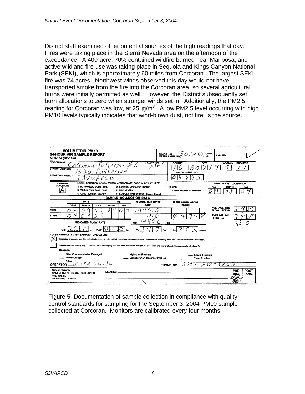District staff examined other potential sources of the high readings that day. Fires were taking place in the Sierra Nevada area on the afternoon of the exceedance. A 400-acre, 70% contained wildfire burned near Mariposa, and active wildland fire use was taking place in Sequoia and Kings Canyon National Park (SEKI), which is approximately 60 miles from Corcoran. The largest SEKI fire was 74 acres. Northwest winds observed this day would not have transported smoke from the fire into the Corcoran area, so several agricultural burns were initially permitted as well. However, the District subsequently set burn allocations to zero when stronger winds set in. Additionally, the PM2.5 reading for Corcoran was low, at  $25\mu g/m^3$ . A low PM2.5 level occurring with high PM10 levels typically indicates that wind-blown dust, not fire, is the source.

| <b>24-HOUR AIR SAMPLE REPORT</b><br>MLD-13A (REV. 8/01)                  |                                     | <b>VOLUMETRIC PM 10</b>                                                              |       |                         |                |                                                                                                                                        |                       | SAMPLE NO. 30/8455                                                                                                                                                                                                                                                                                                                           |                                                 | LAB. NO.                                                |                    |               |
|--------------------------------------------------------------------------|-------------------------------------|--------------------------------------------------------------------------------------|-------|-------------------------|----------------|----------------------------------------------------------------------------------------------------------------------------------------|-----------------------|----------------------------------------------------------------------------------------------------------------------------------------------------------------------------------------------------------------------------------------------------------------------------------------------------------------------------------------------|-------------------------------------------------|---------------------------------------------------------|--------------------|---------------|
| <b>STATION NAME</b><br><b>STATION ADDRESS</b><br><b>REPORTING AGENCY</b> |                                     | rcoran-                                                                              |       | atterson7<br>$+$ terson |                |                                                                                                                                        | <b>ELEVATION</b><br>ఱ | COUNTY<br>6<br><b>INSTRUMENT NO</b>                                                                                                                                                                                                                                                                                                          | SITE                                            | <b>AGENCY</b>                                           | PROJECT            |               |
|                                                                          |                                     | SJVUAPC                                                                              |       | D                       |                |                                                                                                                                        |                       |                                                                                                                                                                                                                                                                                                                                              |                                                 |                                                         |                    |               |
| <b>SAMPLING</b><br><b>CONDITIONS</b>                                     |                                     | A: NO UNUSUAL CONDITIONS<br><b>B: WIND-BLOWN SAND/DUST</b><br>C: CONSTRUCTION NEARBY |       |                         | E: FIRE NEARBY | LOCAL CONDITION CODES (ENTER APPROPRIATE CODE IN BOX AT LEFT)<br>D: FARMING OPERATION NEARBY<br>F: SAMPLER MALFUNCTION (Explain Below) |                       | <b>H: RAIN</b><br>Z: OTHER (Explain in Remarks)                                                                                                                                                                                                                                                                                              |                                                 | DATE OF LAST CALIBRATION<br><b>YEAR</b><br><b>MONTH</b> |                    | DAY           |
|                                                                          |                                     | DATE                                                                                 |       | <b>TIME</b>             |                | SAMPLE COLLECTION DATA                                                                                                                 |                       |                                                                                                                                                                                                                                                                                                                                              |                                                 |                                                         |                    |               |
|                                                                          | YEAR                                | <b>MONTH</b>                                                                         | DAY   | HOURS                   | MIN.           | <b>ELAPSED TIME METER</b><br>(MIN.)                                                                                                    |                       | FILTER PAPER WEIGHT<br>(GRAMS)                                                                                                                                                                                                                                                                                                               |                                                 |                                                         |                    |               |
| <b>FINISH</b>                                                            |                                     |                                                                                      |       |                         | O              |                                                                                                                                        |                       |                                                                                                                                                                                                                                                                                                                                              |                                                 | <b>AVERAGE STD</b><br><b>FLOW (SCFM)</b>                |                    |               |
| <b>START</b>                                                             |                                     |                                                                                      |       |                         |                |                                                                                                                                        |                       |                                                                                                                                                                                                                                                                                                                                              |                                                 | <b>AVERAGE IND.</b><br><b>FLOW RATE</b>                 |                    |               |
|                                                                          |                                     | <b>INDICATED FLOW RATE</b>                                                           |       |                         |                | NET:                                                                                                                                   |                       | NET:                                                                                                                                                                                                                                                                                                                                         |                                                 |                                                         |                    |               |
| PdO                                                                      |                                     |                                                                                      | Pd(F) |                         | in.            |                                                                                                                                        |                       |                                                                                                                                                                                                                                                                                                                                              | mmHa                                            |                                                         |                    |               |
| TO BE COMPLETED BY SAMPLER OPERATORS:                                    |                                     |                                                                                      |       |                         |                |                                                                                                                                        |                       | Inspection of sampler and filter indicates that sample collected is in compliance with quality control standards for sampling. Filter and Dickson recorder chart enclosed.<br>Sample does not meet quality control standards for sampling and should be invalidated. Dickson recorder chart and filter enclosed. Makeup sample scheduled for |                                                 |                                                         |                    |               |
| Reasons:                                                                 | <b>Power Outage</b><br><b>Other</b> | <b>Filter Contaminated or Damaged</b>                                                |       |                         |                | - High/Low Flowrate                                                                                                                    |                       |                                                                                                                                                                                                                                                                                                                                              | <b>Erratic Flowrate</b><br><b>Timer Problem</b> |                                                         |                    |               |
| <b>OPERATOR</b>                                                          |                                     | 0                                                                                    |       |                         |                |                                                                                                                                        |                       | PHONE NO.                                                                                                                                                                                                                                                                                                                                    |                                                 | 5862<br><6                                              |                    |               |
| State of California<br>1927 13th St.                                     |                                     | <b>CALIFORNIA AIR RESOURCES BOARD</b>                                                |       | <b>REMARKS:</b>         |                |                                                                                                                                        |                       |                                                                                                                                                                                                                                                                                                                                              |                                                 |                                                         | PRE-<br><b>ANA</b> | POST-<br>ANA. |
| Sacramento, CA 95814                                                     |                                     |                                                                                      |       |                         |                | ۱ò.                                                                                                                                    |                       |                                                                                                                                                                                                                                                                                                                                              |                                                 |                                                         |                    |               |

Figure 5 Documentation of sample collection in compliance with quality control standards for sampling for the September 3, 2004 PM10 sample collected at Corcoran. Monitors are calibrated every four months.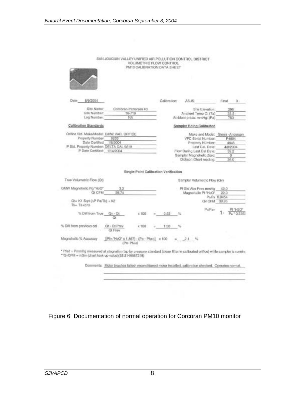| Date<br>8/9/2004                           |                                |                                       | Calibration: | AS-IS |                                                   | Final        | x                         |  |
|--------------------------------------------|--------------------------------|---------------------------------------|--------------|-------|---------------------------------------------------|--------------|---------------------------|--|
|                                            |                                |                                       |              |       |                                                   |              |                           |  |
| Site Name:                                 |                                | Corooran-Patterson 43                 |              |       | Site Elevation:                                   |              | 296                       |  |
| Site Number:                               |                                | 16-719                                |              |       | Ambient Temp C: (Ta)                              |              | 38.5                      |  |
| Log Number:                                |                                | NA.                                   |              |       | Ambiant press, mmHg; (Pa)                         |              | 753                       |  |
| Calibration Standards                      |                                |                                       |              |       | Sampler Being Calibrated                          |              |                           |  |
| Orifice Std. Make/Model: GMW VAR. ORFICE   |                                |                                       |              |       | Make and Model: Sierra -Anderson                  |              |                           |  |
| Property Number                            | 9253                           |                                       |              |       | VFC Serial Number:                                |              | P4894                     |  |
| Date Cortified                             | 1/8/2004                       |                                       |              |       | Property Number:                                  | 4645         |                           |  |
| P Std. Property Number: DELTA CAL 9219     |                                |                                       |              |       | Last Cal. Date:                                   |              | 4/8/2004                  |  |
|                                            | P Date Certified: 1/14/2004    |                                       |              |       | Flow During Last Cal Date:                        |              | 39.2                      |  |
|                                            |                                |                                       |              |       |                                                   |              |                           |  |
|                                            |                                |                                       |              |       | Sampler Magnoholic Zero:<br>Dickson Chart reading |              | o<br>36.0                 |  |
|                                            |                                | Single-Point Calibration Verification |              |       |                                                   |              |                           |  |
| True Volumetric Flow (Ot)                  |                                |                                       |              |       | Sampler Volumetric Flow (Qv)                      |              |                           |  |
|                                            |                                |                                       |              |       |                                                   |              |                           |  |
| GMW Magnahelic Pg "HsO"<br><b>QLCFM</b>    | 3.2<br>39.74                   |                                       |              |       | Pf Std Abs Pres mmHg                              | 42.0<br>22.0 |                           |  |
|                                            |                                |                                       |              |       | Magnehelic Pf "HzO"                               | PuPa 0.9454  |                           |  |
| Ot= K1 Sut (AP Pa/Tk) + K2<br>$The-Ta4273$ |                                |                                       |              |       | Qv CFM 39.95                                      |              |                           |  |
| % Diff from True                           | $QV - Q$<br>Οt                 | x 100                                 | 0.53         |       | $p_{\alpha}$ $p_{\alpha\alpha}$                   |              | PI "H2O"<br>$P_6$ * 0.635 |  |
| % Diff from previous cal                   | Ot - Of Prev<br><b>Qt Prev</b> | X 100                                 | $+38$        |       |                                                   |              |                           |  |

SAN JOAQUIN VALLEY UNIFIED AIR POLLUTION CONTROL DISTRICT

Comments: Motor brushes failed- reconditioned motor installed, calibration checked. Operates normal.

<u> Andreas Ann an Aonaichte ann an Aonaichte ann an Aonaichte ann an Aonaichte ann an Aonaichte ann an Aonaichte ann an Aonaichte ann an Aonaichte ann an Aonaichte ann an Aonaichte ann an Aonaichte ann an Aonaichte ann an A</u>

Figure 6 Documentation of normal operation for Corcoran PM10 monitor

 $\overline{a}$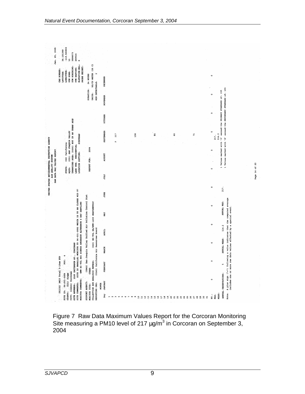| Jan. 25, 2005                                    | 36.101389<br>-119.565833<br>5798073<br>269015<br>ă                                | $\ddot{\phantom{0}}$                                                                             |                                |     |                                                                                           |                                                                                                                  |                                                                                                         |  |
|--------------------------------------------------|-----------------------------------------------------------------------------------|--------------------------------------------------------------------------------------------------|--------------------------------|-----|-------------------------------------------------------------------------------------------|------------------------------------------------------------------------------------------------------------------|---------------------------------------------------------------------------------------------------------|--|
|                                                  | UTM NORTHING:<br>UTM EASTING:<br>CAS NUMBER:<br>LONGITUDE:                        | ELEVATION-MSL:<br>PROBE HEIGHT:<br>$\sim$                                                        |                                |     |                                                                                           |                                                                                                                  | $\circ$                                                                                                 |  |
|                                                  | LATITUDE:<br>UTM ZONE:                                                            | UG/CU METER (25 C)<br>24 HOURS                                                                   | DECEMBER                       |     |                                                                                           |                                                                                                                  |                                                                                                         |  |
|                                                  |                                                                                   | MIN DETECTABLE:<br>DURATION:<br>UNITS:                                                           | <b>NOVEMBER</b>                |     |                                                                                           |                                                                                                                  | 1 Values marked with 'S' exceed the SECONDARY STANDARD of: 155<br>$\circ$                               |  |
|                                                  |                                                                                   |                                                                                                  | <b>OCTOBER</b>                 |     |                                                                                           |                                                                                                                  | 1 Values marked with 'P' exceed the PRIMARY STANDARD of: 155<br>$\circ$                                 |  |
|                                                  | URBANIZED AREA: (0000) NOT IN AN URBAN AREA                                       | <b>SUBURBAN</b>                                                                                  | SEPTEMBER<br>217<br>$\alpha$   | 138 | $\frac{5}{6}$<br>60                                                                       | $\mathbf{r}$                                                                                                     | n<br>114.2<br>217.                                                                                      |  |
| LONIED STATES ENVIRONMENTAL PROTECTION AGENCY    | VELTEA NIQUOC NES (160)<br>(06) California                                        |                                                                                                  |                                |     |                                                                                           |                                                                                                                  | $\circ$                                                                                                 |  |
| RAW DATA MAX VALUES REPORT<br>AIR QUALITY SYSTEM | LAND USE: RESIDENTIAL<br>STATE:<br>AQCR:                                          | REPORT FOR: 2004<br>LOCATION SETTING:                                                            | AUGUST                         |     |                                                                                           |                                                                                                                  | $\circ$                                                                                                 |  |
|                                                  |                                                                                   |                                                                                                  | JULY                           |     |                                                                                           |                                                                                                                  |                                                                                                         |  |
|                                                  |                                                                                   |                                                                                                  | JUNE                           |     |                                                                                           |                                                                                                                  | $\circ$<br>217.                                                                                         |  |
|                                                  | SITE IS GIMMONIDE OT 31 EDIEM \$000-160-00 OF SOTINOM ELECTRARIE SI SITE          | (0945) Sam Joaquin Valley Unified Air Pollution Control Dist                                     |                                |     |                                                                                           |                                                                                                                  | Note: A plus sign ("+") following a value indicates that the computed average<br>ANNUAL MAX:<br>$\circ$ |  |
|                                                  |                                                                                   |                                                                                                  | МAY                            |     |                                                                                           |                                                                                                                  | $\circ$                                                                                                 |  |
|                                                  |                                                                                   | (063) HI-VOL SA/GMW-1200 GRAVIMETRIC                                                             | APRIL                          |     |                                                                                           |                                                                                                                  | 114.2                                                                                                   |  |
|                                                  |                                                                                   |                                                                                                  | <b>MARCH</b>                   |     |                                                                                           |                                                                                                                  | ANNUAL MEAN:<br>$\circ$                                                                                 |  |
|                                                  | MARCOROO, 'AN WOSKELLEG 025T<br>poc:                                              | GMW HI-VOL SSI SIERRA ANDERSON ALTERNATE 6 DAY SAMPLING<br>(0145) California Air Resources Board | <b>FEBRUARY</b>                |     |                                                                                           |                                                                                                                  | includes one or more raw data values effected by a special event.<br>$\circ$<br>ın,                     |  |
|                                                  | (81102) PM10 Total 0-10um STP<br>(031) Kings                                      | COLLECTION AND ANALYSIS METHOD:<br><b>OTHER</b>                                                  |                                |     |                                                                                           |                                                                                                                  | $\circ$                                                                                                 |  |
|                                                  | CITY: (16224) Corcoran<br>SITE ID: 06-031-0004<br>SITE COMMENTS:<br>SITE ADDRESS: | MONITOR COMMENTS:<br>SUPPORT AGENCY:<br>REPORTING ORG:<br>MONITOR TYPE:                          | <b>JANUARY</b><br><b>MONTH</b> |     |                                                                                           |                                                                                                                  | ANNUAL OBSERVATIONS:                                                                                    |  |
|                                                  | COUNTY:                                                                           |                                                                                                  | Day                            |     | $\frac{6}{1}$<br>$\frac{9}{14}$<br>$\mathbf{a}$<br>$\overline{20}$<br>$\overline{a}$<br>Η | $\overline{2}$<br>$\overline{3}$<br>$\overline{a}$<br>24<br>25<br>26<br>27<br>$\mathbf{28}$<br>29<br>$\tilde{a}$ | MEAN:<br>NO.:<br>MAX:                                                                                   |  |

Figure 7 Raw Data Maximum Values Report for the Corcoran Monitoring Site measuring a PM10 level of 217  $\mu$ g/m $3$  in Corcoran on September 3, 2004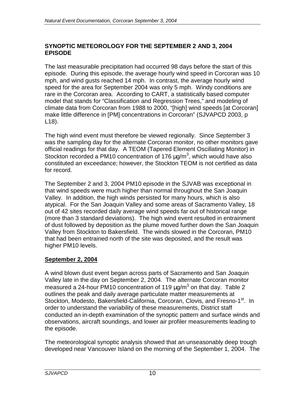### **SYNOPTIC METEOROLOGY FOR THE SEPTEMBER 2 AND 3, 2004 EPISODE**

The last measurable precipitation had occurred 98 days before the start of this episode. During this episode, the average hourly wind speed in Corcoran was 10 mph, and wind gusts reached 14 mph. In contrast, the average hourly wind speed for the area for September 2004 was only 5 mph. Windy conditions are rare in the Corcoran area. According to CART, a statistically based computer model that stands for "Classification and Regression Trees," and modeling of climate data from Corcoran from 1988 to 2000, "[high] wind speeds [at Corcoran] make little difference in [PM] concentrations in Corcoran" (SJVAPCD 2003, p L18).

The high wind event must therefore be viewed regionally. Since September 3 was the sampling day for the alternate Corcoran monitor, no other monitors gave official readings for that day. A TEOM (Tapered Element Oscillating Monitor) in Stockton recorded a PM10 concentration of 176  $\mu$ g/m<sup>3</sup>, which would have also constituted an exceedance; however, the Stockton TEOM is not certified as data for record.

The September 2 and 3, 2004 PM10 episode in the SJVAB was exceptional in that wind speeds were much higher than normal throughout the San Joaquin Valley. In addition, the high winds persisted for many hours, which is also atypical. For the San Joaquin Valley and some areas of Sacramento Valley, 18 out of 42 sites recorded daily average wind speeds far out of historical range (more than 3 standard deviations). The high wind event resulted in entrainment of dust followed by deposition as the plume moved further down the San Joaquin Valley from Stockton to Bakersfield.The winds slowed in the Corcoran, PM10 that had been entrained north of the site was deposited, and the result was higher PM10 levels.

# **September 2, 2004**

A wind blown dust event began across parts of Sacramento and San Joaquin Valley late in the day on September 2, 2004. The alternate Corcoran monitor measured a 24-hour PM10 concentration of 119  $\mu$ g/m<sup>3</sup> on that day. Table 2 outlines the peak and daily average particulate matter measurements at Stockton, Modesto, Bakersfield-California, Corcoran, Clovis, and Fresno-1<sup>st</sup>. In order to understand the variability of these measurements, District staff conducted an in-depth examination of the synoptic pattern and surface winds and observations, aircraft soundings, and lower air profiler measurements leading to the episode.

The meteorological synoptic analysis showed that an unseasonably deep trough developed near Vancouver Island on the morning of the September 1, 2004. The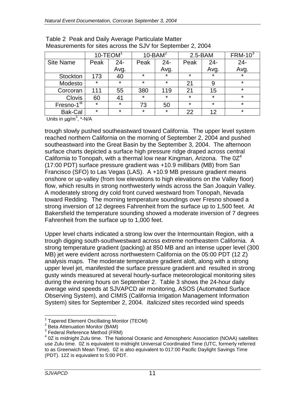|                        | $10 - T EOM1$ |         |         | $10$ -BAM <sup>2</sup> |         | $2.5 - BAM$ | $FRM-103$ |
|------------------------|---------------|---------|---------|------------------------|---------|-------------|-----------|
| <b>Site Name</b>       | Peak          | $24 -$  | Peak    | $24 -$                 | Peak    | $24 -$      | $24 -$    |
|                        |               | Avg.    |         | Avg.                   |         | Avg.        | Avg.      |
| Stockton               | 173           | 40      | $\star$ | $\star$                | $\star$ | $\star$     | $\star$   |
| Modesto                | $\star$       | ¥       | $\star$ | $\star$                | 21      | 9           | $\star$   |
| Corcoran               | 111           | 55      | 380     | 119                    | 21      | 15          | $\star$   |
| <b>Clovis</b>          | 60            | 41      | $\star$ | $\star$                | $\star$ | $\star$     | $\star$   |
| Fresno-1 <sup>st</sup> | $\star$       | *       | 73      | 50                     | $\star$ | $\star$     | $\star$   |
| <b>Bak-Cal</b>         | $\star$       | $\star$ | $\star$ | $\star$                | 22      | 12          | $\star$   |

| Table 2 Peak and Daily Average Particulate Matter           |
|-------------------------------------------------------------|
| Measurements for sites across the SJV for September 2, 2004 |

Units in  $\mu$ g/m<sup>3</sup>, \*-N/A

trough slowly pushed southeastward toward California. The upper level system reached northern California on the morning of September 2, 2004 and pushed southeastward into the Great Basin by the September 3, 2004. The afternoon surface charts depicted a surface high pressure ridge draped across central California to Tonopah, with a thermal low near Kingman, Arizona. The  $0Z^4$ (17:00 PDT) surface pressure gradient was +10.9 millibars (MB) from San Francisco (SFO) to Las Vegas (LAS). A +10.9 MB pressure gradient means onshore or up-valley (from low elevations to high elevations on the Valley floor) flow, which results in strong northwesterly winds across the San Joaquin Valley. A moderately strong dry cold front curved westward from Tonopah, Nevada toward Redding. The morning temperature soundings over Fresno showed a strong inversion of 12 degrees Fahrenheit from the surface up to 1,500 feet. At Bakersfield the temperature sounding showed a moderate inversion of 7 degrees Fahrenheit from the surface up to 1,000 feet.

Upper level charts indicated a strong low over the Intermountain Region, with a trough digging south-southwestward across extreme northeastern California. A strong temperature gradient (packing) at 850 MB and an intense upper level (300 MB) jet were evident across northwestern California on the 05:00 PDT (12 Z) analysis maps. The moderate temperature gradient aloft, along with a strong upper level jet, manifested the surface pressure gradient and resulted in strong gusty winds measured at several hourly-surface meteorological monitoring sites during the evening hours on September 2. Table 3 shows the 24-hour daily average wind speeds at SJVAPCD air monitoring, ASOS (Automated Surface Observing System), and CIMIS (California Irrigation Management Information System) sites for September 2, 2004. *Italicized* sites recorded wind speeds

<sup>-</sup><sup>1</sup> Tapered Element Oscillating Monitor (TEOM)

<sup>&</sup>lt;sup>2</sup> Beta Attenuation Monitor (BAM)

 $^3$  Federal Reference Method (FRM)

<sup>&</sup>lt;sup>4</sup> 0Z is midnight Zulu time. The National Oceanic and Atmospheric Association (NOAA) satellites use Zulu time. 0Z is equivalent to midnight Universal Coordinated Time (UTC, formerly referred to as Greenwich Mean Time). 0Z is also equivalent to 017:00 Pacific Daylight Savings Time (PDT). 12Z is equivalent to 5:00 PDT.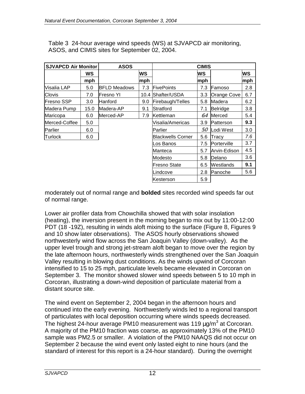| <b>SJVAPCD Air Monitor</b> |      | <b>ASOS</b>         |     | <b>CIMIS</b>      |     |              |     |  |
|----------------------------|------|---------------------|-----|-------------------|-----|--------------|-----|--|
|                            | WS   |                     | WS  |                   | lws |              | WS  |  |
|                            | mph  |                     | mph |                   | mph |              | mph |  |
| Visalia LAP                | 5.0  | <b>BFLD Meadows</b> | 7.3 | <b>FivePoints</b> | 7.3 | lFamoso      | 2.8 |  |
| Clovis                     | 7.0  | lFresno YI          |     | 10.4 Shafter/USDA | 3.3 | Orange Cove  | 6.7 |  |
| <b>Fresno SSP</b>          | 3.0  | Hanford             | 9.0 | Firebaugh/Telles  | 5.8 | Madera       | 6.2 |  |
| Madera Pump                | 15.0 | Madera-AP           | 9.1 | Stratford         | 7.1 | Belridge     | 3.8 |  |
| Maricopa                   | 6.0  | Merced-AP           | 7.9 | Kettleman         | 6.4 | Merced       | 5.4 |  |
| Merced-Coffee              | 5.0  |                     |     | Visalia/Americas  | 3.9 | Patterson    | 9.3 |  |
| Parlier                    | 6.0  |                     |     | Parlier           | 5.0 | Lodi West    | 3.0 |  |
| Turlock                    | 6.0  |                     |     | Blackwells Corner | 5.6 | Tracy        | 7.6 |  |
|                            |      |                     |     | os Banos          | 7.5 | Porterville  | 3.7 |  |
|                            |      |                     |     | Manteca           | 5.7 | Arvin-Edison | 4.5 |  |
|                            |      |                     |     | Modesto           | 5.8 | Delano       | 3.6 |  |
|                            |      |                     |     | Fresno State      | 6.5 | Westlands    | 9.1 |  |
|                            |      |                     |     | Lindcove          | 2.8 | Panoche      | 5.6 |  |
|                            |      |                     |     | Kesterson         | 5.9 |              |     |  |

Table 3 24-hour average wind speeds (WS) at SJVAPCD air monitoring, ASOS, and CIMIS sites for September 02, 2004.

moderately out of normal range and **bolded** sites recorded wind speeds far out of normal range.

Lower air profiler data from Chowchilla showed that with solar insolation (heating), the inversion present in the morning began to mix out by 11:00-12:00 PDT (18 -19Z), resulting in winds aloft mixing to the surface (Figure 8, Figures 9 and 10 show later observations). The ASOS hourly observations showed northwesterly wind flow across the San Joaquin Valley (down-valley). As the upper level trough and strong jet-stream aloft began to move over the region by the late afternoon hours, northwesterly winds strengthened over the San Joaquin Valley resulting in blowing dust conditions. As the winds upwind of Corcoran intensified to 15 to 25 mph, particulate levels became elevated in Corcoran on September 3. The monitor showed slower wind speeds between 5 to 10 mph in Corcoran, illustrating a down-wind deposition of particulate material from a distant source site.

The wind event on September 2, 2004 began in the afternoon hours and continued into the early evening. Northwesterly winds led to a regional transport of particulates with local deposition occurring where winds speeds decreased. The highest 24-hour average PM10 measurement was 119  $\mu$ g/m $^3$  at Corcoran. A majority of the PM10 fraction was coarse, as approximately 13% of the PM10 sample was PM2.5 or smaller. A violation of the PM10 NAAQS did not occur on September 2 because the wind event only lasted eight to nine hours (and the standard of interest for this report is a 24-hour standard). During the overnight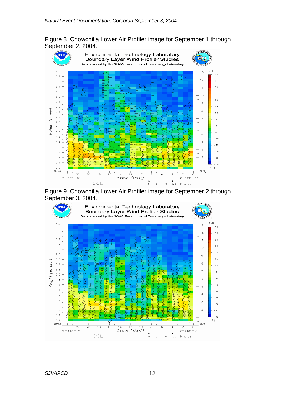Figure 8 Chowchilla Lower Air Profiler image for September 1 through September 2, 2004.



Figure 9 Chowchilla Lower Air Profiler image for September 2 through September 3, 2004.

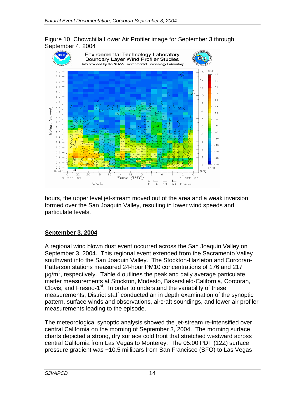Figure 10 Chowchilla Lower Air Profiler image for September 3 through September 4, 2004



hours, the upper level jet-stream moved out of the area and a weak inversion formed over the San Joaquin Valley, resulting in lower wind speeds and particulate levels.

#### **September 3, 2004**

A regional wind blown dust event occurred across the San Joaquin Valley on September 3, 2004. This regional event extended from the Sacramento Valley southward into the San Joaquin Valley. The Stockton-Hazleton and Corcoran-Patterson stations measured 24-hour PM10 concentrations of 176 and 217  $\mu$ g/m $^3$ , respectively. Table 4 outlines the peak and daily average particulate matter measurements at Stockton, Modesto, Bakersfield-California, Corcoran, Clovis, and Fresno-1<sup>st</sup>. In order to understand the variability of these measurements, District staff conducted an in depth examination of the synoptic pattern, surface winds and observations, aircraft soundings, and lower air profiler measurements leading to the episode.

The meteorological synoptic analysis showed the jet-stream re-intensified over central California on the morning of September 3, 2004. The morning surface charts depicted a strong, dry surface cold front that stretched westward across central California from Las Vegas to Monterey. The 05:00 PDT (12Z) surface pressure gradient was +10.5 millibars from San Francisco (SFO) to Las Vegas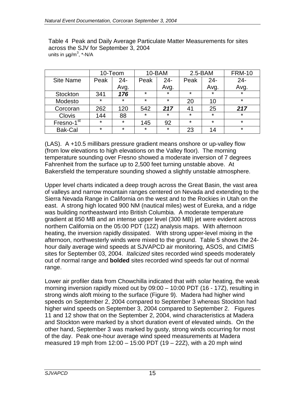|                        | 10-Teom |         |         | 10-BAM  | $2.5 - BAM$ |         | <b>FRM-10</b> |
|------------------------|---------|---------|---------|---------|-------------|---------|---------------|
| <b>Site Name</b>       | Peak    | $24 -$  | Peak    | $24 -$  | Peak        | $24 -$  | $24 -$        |
|                        |         | Avg.    |         | Avg.    |             | Avg.    | Avg.          |
| <b>Stockton</b>        | 341     | 176     | $\star$ | $\star$ | $\star$     | $\star$ | $\star$       |
| Modesto                | $\star$ | $\star$ | $\star$ | $\star$ | 20          | 10      | $\star$       |
| Corcoran               | 262     | 120     | 542     | 217     | 41          | 25      | 217           |
| <b>Clovis</b>          | 144     | 88      | $\star$ | *       | $\star$     | $\star$ | $\star$       |
| Fresno-1 <sup>st</sup> | $\star$ | $\star$ | 145     | 92      | $\star$     | $\star$ | $\star$       |
| <b>Bak-Cal</b>         | $\star$ | $\star$ | *       | $\star$ | 23          | 14      | $\star$       |

Table 4 Peak and Daily Average Particulate Matter Measurements for sites across the SJV for September 3, 2004 units in  $\mu$ g/m $^3$ , \*-N/A

(LAS). A +10.5 millibars pressure gradient means onshore or up-valley flow (from low elevations to high elevations on the Valley floor). The morning temperature sounding over Fresno showed a moderate inversion of 7 degrees Fahrenheit from the surface up to 2,500 feet turning unstable above. At Bakersfield the temperature sounding showed a slightly unstable atmosphere.

Upper level charts indicated a deep trough across the Great Basin, the vast area of valleys and narrow mountain ranges centered on Nevada and extending to the Sierra Nevada Range in California on the west and to the Rockies in Utah on the east. A strong high located 900 NM (nautical miles) west of Eureka, and a ridge was building northeastward into British Columbia. A moderate temperature gradient at 850 MB and an intense upper level (300 MB) jet were evident across northern California on the 05:00 PDT (12Z) analysis maps. With afternoon heating, the inversion rapidly dissipated. With strong upper-level mixing in the afternoon, northwesterly winds were mixed to the ground. Table 5 shows the 24 hour daily average wind speeds at SJVAPCD air monitoring, ASOS, and CIMIS sites for September 03, 2004. *Italicized* sites recorded wind speeds moderately out of normal range and **bolded** sites recorded wind speeds far out of normal range.

Lower air profiler data from Chowchilla indicated that with solar heating, the weak morning inversion rapidly mixed out by 09:00 – 10:00 PDT (16 - 17Z), resulting in strong winds aloft mixing to the surface (Figure 9). Madera had higher wind speeds on September 2, 2004 compared to September 3 whereas Stockton had higher wind speeds on September 3, 2004 compared to September 2. Figures 11 and 12 show that on the September 2, 2004, wind characteristics at Madera and Stockton were marked by a short duration event of elevated winds. On the other hand, September 3 was marked by gusty, strong winds occurring for most of the day. Peak one-hour average wind speed measurements at Madera measured 19 mph from  $12:00 - 15:00$  PDT (19 – 22Z), with a 20 mph wind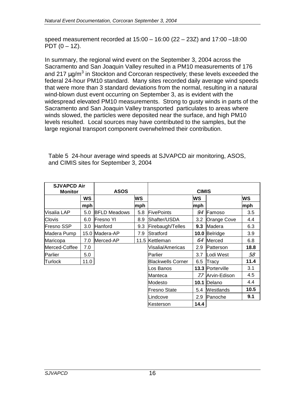speed measurement recorded at 15:00 – 16:00 (22 – 23Z) and 17:00 –18:00 PDT  $(0 - 1Z)$ .

In summary, the regional wind event on the September 3, 2004 across the Sacramento and San Joaquin Valley resulted in a PM10 measurements of 176 and 217  $\mu$ g/m<sup>3</sup> in Stockton and Corcoran respectively; these levels exceeded the federal 24-hour PM10 standard. Many sites recorded daily average wind speeds that were more than 3 standard deviations from the normal, resulting in a natural wind-blown dust event occurring on September 3, as is evident with the widespread elevated PM10 measurements. Strong to gusty winds in parts of the Sacramento and San Joaquin Valley transported particulates to areas where winds slowed, the particles were deposited near the surface, and high PM10 levels resulted. Local sources may have contributed to the samples, but the large regional transport component overwhelmed their contribution.

Table 5 24-hour average wind speeds at SJVAPCD air monitoring, ASOS, and CIMIS sites for September 3, 2004

| <b>SJVAPCD Air</b> |      |                     |     |                          |      |                         |      |  |
|--------------------|------|---------------------|-----|--------------------------|------|-------------------------|------|--|
| <b>Monitor</b>     |      | <b>ASOS</b>         |     | <b>CIMIS</b>             |      |                         |      |  |
|                    | WS   |                     | WS  |                          | WS   |                         | WS   |  |
|                    | mph  |                     | mph |                          | mph  |                         | mph  |  |
| Visalia LAP        | 5.0  | <b>BFLD Meadows</b> | 5.8 | <b>FivePoints</b>        | 9.4  | Famoso                  | 3.5  |  |
| Clovis             | 6.0  | Fresno YI           | 8.9 | <b>IShafter/USDA</b>     | 3.2  | <b>Orange Cove</b>      | 4.4  |  |
| <b>Fresno SSP</b>  | 3.0  | <b>Hanford</b>      | 9.3 | Firebaugh/Telles         | 9.3  | Madera                  | 6.3  |  |
| Madera Pump        |      | 15.0 Madera-AP      | 7.9 | Stratford                |      | 10.0 Belridge           | 3.9  |  |
| Maricopa           | 7.0  | Merced-AP           |     | 11.5 Kettleman           | 6.4  | Merced                  | 6.8  |  |
| Merced-Coffee      | 7.0  |                     |     | Visalia/Americas         | 2.9  | <b>IPatterson</b>       | 18.8 |  |
| Parlier            | 5.0  |                     |     | Parlier                  | 3.7  | Lodi West               | 5.8  |  |
| Turlock            | 11.0 |                     |     | <b>Blackwells Corner</b> | 6.5  | Tracy                   | 11.4 |  |
|                    |      |                     |     | os Banos                 |      | <b>13.3 Porterville</b> | 3.1  |  |
|                    |      |                     |     | Manteca                  | 7.7  | Arvin-Edison            | 4.5  |  |
|                    |      |                     |     | Modesto                  | 10.1 | Delano                  | 4.4  |  |
|                    |      |                     |     | <b>Fresno State</b>      | 5.4  | <b>Westlands</b>        | 10.5 |  |
|                    |      |                     |     | Lindcove                 | 2.9  | <b>IPanoche</b>         | 9.1  |  |
|                    |      |                     |     | <b>Kesterson</b>         | 14.4 |                         |      |  |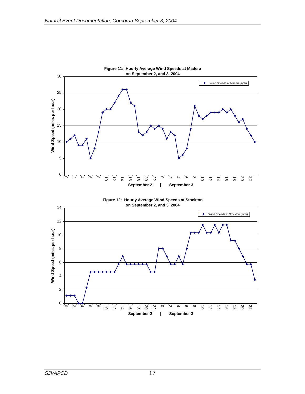